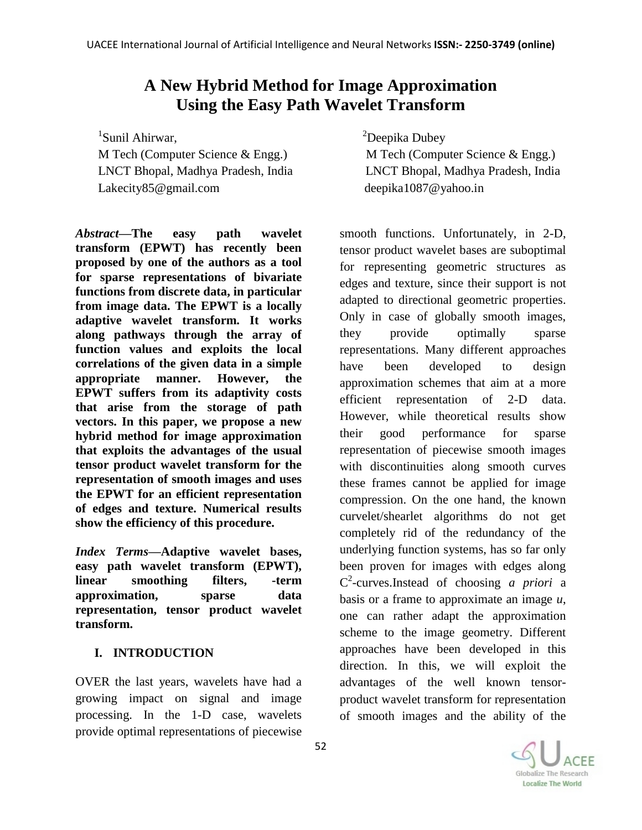# **A New Hybrid Method for Image Approximation Using the Easy Path Wavelet Transform**

1 Sunil Ahirwar, M Tech (Computer Science & Engg.) M Tech (Computer Science & Engg.) Lakecity85@gmail.com deepika1087@yahoo.in

*Abstract—***The easy path wavelet transform (EPWT) has recently been proposed by one of the authors as a tool for sparse representations of bivariate functions from discrete data, in particular from image data. The EPWT is a locally adaptive wavelet transform. It works along pathways through the array of function values and exploits the local correlations of the given data in a simple appropriate manner. However, the EPWT suffers from its adaptivity costs that arise from the storage of path vectors. In this paper, we propose a new hybrid method for image approximation that exploits the advantages of the usual tensor product wavelet transform for the representation of smooth images and uses the EPWT for an efficient representation of edges and texture. Numerical results show the efficiency of this procedure.** 

*Index Terms—***Adaptive wavelet bases, easy path wavelet transform (EPWT), linear smoothing filters, -term approximation, sparse data representation, tensor product wavelet transform.**

## **I. INTRODUCTION**

OVER the last years, wavelets have had a growing impact on signal and image processing. In the 1-D case, wavelets provide optimal representations of piecewise

<sup>2</sup>Deepika Dubey

LNCT Bhopal, Madhya Pradesh, India LNCT Bhopal, Madhya Pradesh, India

smooth functions. Unfortunately, in 2-D, tensor product wavelet bases are suboptimal for representing geometric structures as edges and texture, since their support is not adapted to directional geometric properties. Only in case of globally smooth images, they provide optimally sparse representations. Many different approaches have been developed to design approximation schemes that aim at a more efficient representation of 2-D data. However, while theoretical results show their good performance for sparse representation of piecewise smooth images with discontinuities along smooth curves these frames cannot be applied for image compression. On the one hand, the known curvelet/shearlet algorithms do not get completely rid of the redundancy of the underlying function systems, has so far only been proven for images with edges along C 2 -curves.Instead of choosing *a priori* a basis or a frame to approximate an image *u*, one can rather adapt the approximation scheme to the image geometry. Different approaches have been developed in this direction. In this, we will exploit the advantages of the well known tensorproduct wavelet transform for representation of smooth images and the ability of the

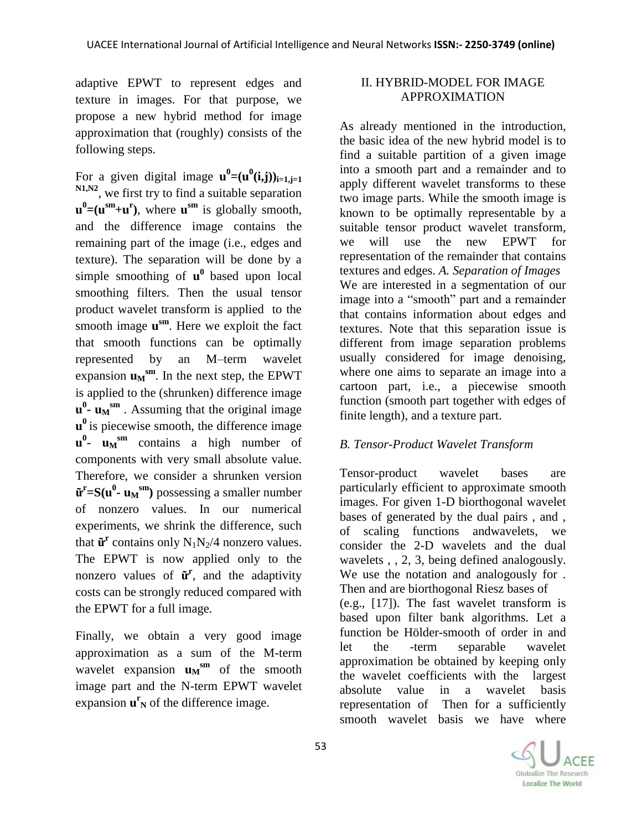adaptive EPWT to represent edges and texture in images. For that purpose, we propose a new hybrid method for image approximation that (roughly) consists of the following steps.

For a given digital image  $\mathbf{u}^0 = (\mathbf{u}^0(i,j))_{i=1,j=1}$ **N1,N2**, we first try to find a suitable separation  $\mathbf{u}^0 = (\mathbf{u}^{\text{sm}} + \mathbf{u}^{\text{r}})$ , where  $\mathbf{u}^{\text{sm}}$  is globally smooth, and the difference image contains the remaining part of the image (i.e., edges and texture). The separation will be done by a simple smoothing of  $\mathbf{u}^0$  based upon local smoothing filters. Then the usual tensor product wavelet transform is applied to the smooth image **u sm**. Here we exploit the fact that smooth functions can be optimally represented by an M–term wavelet expansion  $\mathbf{u}_M$ <sup>sm</sup>. In the next step, the EPWT is applied to the (shrunken) difference image  $\mathbf{u}^0$  **-**  $\mathbf{u}_M$ <sup>sm</sup>. Assuming that the original image **u**<sup>0</sup> is piecewise smooth, the difference image **u 0 - u<sup>M</sup> sm** contains a high number of components with very small absolute value. Therefore, we consider a shrunken version  $\tilde{\mathbf{u}}^{\text{r}} = \mathbf{S}(\mathbf{u}^0 - \mathbf{u}_M^{\text{sm}})$  possessing a smaller number of nonzero values. In our numerical experiments, we shrink the difference, such that  $\tilde{\mathbf{u}}^{\text{r}}$  contains only  $N_1N_2/4$  nonzero values. The EPWT is now applied only to the nonzero values of  $\tilde{\mathbf{u}}^{\mathbf{r}}$ , and the adaptivity costs can be strongly reduced compared with the EPWT for a full image.

Finally, we obtain a very good image approximation as a sum of the M-term wavelet expansion  $\mathbf{u}_M$ <sup>sm</sup> of the smooth image part and the N-term EPWT wavelet expansion  $\mathbf{u}^{\mathbf{r}}$  of the difference image.

## II. HYBRID-MODEL FOR IMAGE APPROXIMATION

As already mentioned in the introduction, the basic idea of the new hybrid model is to find a suitable partition of a given image into a smooth part and a remainder and to apply different wavelet transforms to these two image parts. While the smooth image is known to be optimally representable by a suitable tensor product wavelet transform, we will use the new EPWT for representation of the remainder that contains textures and edges. *A. Separation of Images* We are interested in a segmentation of our image into a "smooth" part and a remainder that contains information about edges and textures. Note that this separation issue is different from image separation problems usually considered for image denoising, where one aims to separate an image into a cartoon part, i.e., a piecewise smooth function (smooth part together with edges of finite length), and a texture part.

## *B. Tensor-Product Wavelet Transform*

Tensor-product wavelet bases are particularly efficient to approximate smooth images. For given 1-D biorthogonal wavelet bases of generated by the dual pairs , and , of scaling functions andwavelets, we consider the 2-D wavelets and the dual wavelets , , 2, 3, being defined analogously. We use the notation and analogously for . Then and are biorthogonal Riesz bases of (e.g., [17]). The fast wavelet transform is based upon filter bank algorithms. Let a function be Hölder-smooth of order in and let the -term separable wavelet approximation be obtained by keeping only the wavelet coefficients with the largest absolute value in a wavelet basis representation of Then for a sufficiently smooth wavelet basis we have where

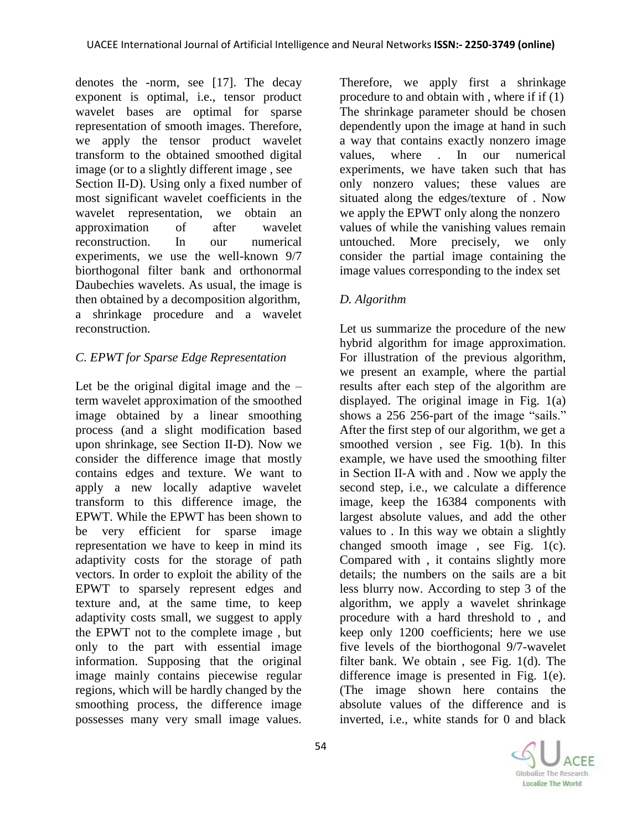denotes the -norm, see [17]. The decay exponent is optimal, i.e., tensor product wavelet bases are optimal for sparse representation of smooth images. Therefore, we apply the tensor product wavelet transform to the obtained smoothed digital image (or to a slightly different image , see Section II-D). Using only a fixed number of most significant wavelet coefficients in the wavelet representation, we obtain an approximation of after wavelet reconstruction. In our numerical experiments, we use the well-known 9/7 biorthogonal filter bank and orthonormal Daubechies wavelets. As usual, the image is then obtained by a decomposition algorithm, a shrinkage procedure and a wavelet reconstruction.

# *C. EPWT for Sparse Edge Representation*

Let be the original digital image and the  $$ term wavelet approximation of the smoothed image obtained by a linear smoothing process (and a slight modification based upon shrinkage, see Section II-D). Now we consider the difference image that mostly contains edges and texture. We want to apply a new locally adaptive wavelet transform to this difference image, the EPWT. While the EPWT has been shown to be very efficient for sparse image representation we have to keep in mind its adaptivity costs for the storage of path vectors. In order to exploit the ability of the EPWT to sparsely represent edges and texture and, at the same time, to keep adaptivity costs small, we suggest to apply the EPWT not to the complete image , but only to the part with essential image information. Supposing that the original image mainly contains piecewise regular regions, which will be hardly changed by the smoothing process, the difference image possesses many very small image values.

Therefore, we apply first a shrinkage procedure to and obtain with , where if if (1) The shrinkage parameter should be chosen dependently upon the image at hand in such a way that contains exactly nonzero image values, where . In our numerical experiments, we have taken such that has only nonzero values; these values are situated along the edges/texture of . Now we apply the EPWT only along the nonzero values of while the vanishing values remain untouched. More precisely, we only consider the partial image containing the image values corresponding to the index set

# *D. Algorithm*

Let us summarize the procedure of the new hybrid algorithm for image approximation. For illustration of the previous algorithm, we present an example, where the partial results after each step of the algorithm are displayed. The original image in Fig. 1(a) shows a 256 256-part of the image "sails." After the first step of our algorithm, we get a smoothed version , see Fig. 1(b). In this example, we have used the smoothing filter in Section II-A with and . Now we apply the second step, i.e., we calculate a difference image, keep the 16384 components with largest absolute values, and add the other values to . In this way we obtain a slightly changed smooth image, see Fig.  $1(c)$ . Compared with , it contains slightly more details; the numbers on the sails are a bit less blurry now. According to step 3 of the algorithm, we apply a wavelet shrinkage procedure with a hard threshold to , and keep only 1200 coefficients; here we use five levels of the biorthogonal 9/7-wavelet filter bank. We obtain , see Fig. 1(d). The difference image is presented in Fig. 1(e). (The image shown here contains the absolute values of the difference and is inverted, i.e., white stands for 0 and black

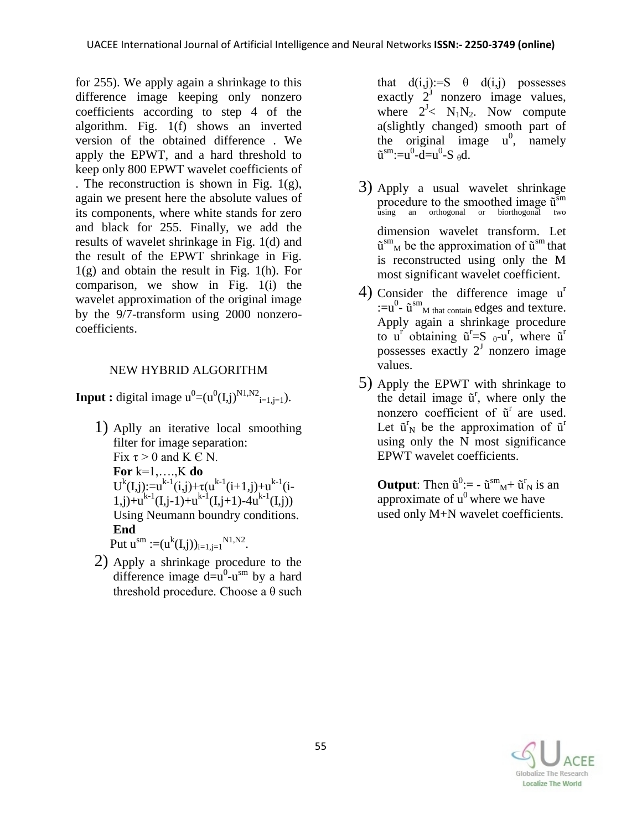for 255). We apply again a shrinkage to this difference image keeping only nonzero coefficients according to step 4 of the algorithm. Fig. 1(f) shows an inverted version of the obtained difference . We apply the EPWT, and a hard threshold to keep only 800 EPWT wavelet coefficients of . The reconstruction is shown in Fig. 1(g), again we present here the absolute values of its components, where white stands for zero and black for 255. Finally, we add the results of wavelet shrinkage in Fig. 1(d) and the result of the EPWT shrinkage in Fig. 1(g) and obtain the result in Fig. 1(h). For comparison, we show in Fig. 1(i) the wavelet approximation of the original image by the 9/7-transform using 2000 nonzerocoefficients.

# NEW HYBRID ALGORITHM

**Input :** digital image  $u^0 = (u^0(I,j)^{N1,N2})_{i=1,j=1}$ .

- 1) Aplly an iterative local smoothing filter for image separation: Fix  $\tau > 0$  and K  $\in$  N. **For** k=1,….,K **do** U<sup>k</sup>(I,j):=u<sup>k-1</sup>(i,j)+ $\tau(u^{k-1}(i+1,j)+u^{k-1}(i-1))$  $1,j)+u^{k-1}(I,j-1)+u^{k-1}(I,j+1)-4u^{k-1}(I,j))$ Using Neumann boundry conditions.  **End** Put  $u^{sm} := (u^{k}(I,j))_{i=1,j=1}^{N1,N2}$ .
	- 2) Apply a shrinkage procedure to the difference image  $d = u^0 - u^{\text{sm}}$  by a hard threshold procedure. Choose a θ such

that  $d(i,j):=S$   $\theta$   $d(i,j)$  possesses exactly  $2^{j}$  nonzero image values, where  $2^J < N_1N_2$ . Now compute a(slightly changed) smooth part of the original image  $u^0$ , namely  $\tilde{u}^{\rm sm}$ :=u<sup>0</sup>-d=u<sup>0</sup>-S  $_{\theta}d$ .

- 3) Apply a usual wavelet shrinkage procedure to the smoothed image  $\tilde{u}$ <sup>sm</sup> using an orthogonal or biorthogonal two dimension wavelet transform. Let  $\tilde{u}^{\rm sm}$  be the approximation of  $\tilde{u}^{\rm sm}$  that is reconstructed using only the M most significant wavelet coefficient.
- 4) Consider the difference image u<sup>r</sup>  $:=u^0$ -  $\tilde{u}^{\rm sm}$ <sub>M that contain</sub> edges and texture. Apply again a shrinkage procedure to  $u^r$  obtaining  $\tilde{u}^r = S_{\theta} - u^r$ , where  $\tilde{u}^r$ possesses exactly  $2^J$  nonzero image values.
- 5) Apply the EPWT with shrinkage to the detail image  $\tilde{u}^r$ , where only the nonzero coefficient of  $\tilde{u}^r$  are used. Let  $\tilde{u}^r$  be the approximation of  $\tilde{u}^r$ using only the N most significance EPWT wavelet coefficients.

**Output**: Then  $\tilde{u}^0$ : =  $-\tilde{u}^{\rm sm}$ <sub>M</sub>+  $\tilde{u}^{\rm r}$ <sub>N</sub> is an approximate of  $u^0$  where we have used only M+N wavelet coefficients.

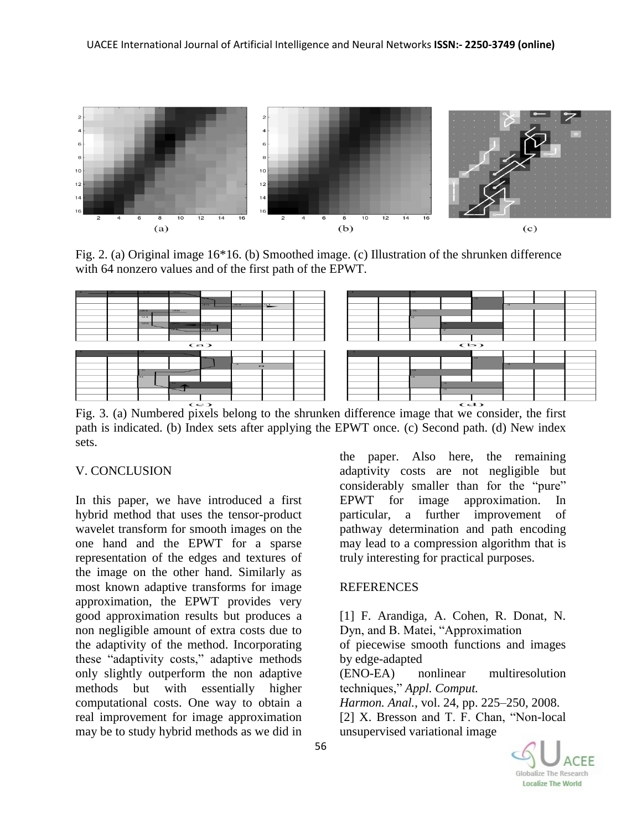

Fig. 2. (a) Original image 16\*16. (b) Smoothed image. (c) Illustration of the shrunken difference with 64 nonzero values and of the first path of the EPWT.



path is indicated. (b) Index sets after applying the EPWT once. (c) Second path. (d) New index sets.

#### V. CONCLUSION

In this paper, we have introduced a first hybrid method that uses the tensor-product wavelet transform for smooth images on the one hand and the EPWT for a sparse representation of the edges and textures of the image on the other hand. Similarly as most known adaptive transforms for image approximation, the EPWT provides very good approximation results but produces a non negligible amount of extra costs due to the adaptivity of the method. Incorporating these "adaptivity costs," adaptive methods only slightly outperform the non adaptive methods but with essentially higher computational costs. One way to obtain a real improvement for image approximation may be to study hybrid methods as we did in

the paper. Also here, the remaining adaptivity costs are not negligible but considerably smaller than for the "pure" EPWT for image approximation. In particular, a further improvement of pathway determination and path encoding may lead to a compression algorithm that is truly interesting for practical purposes.

#### **REFERENCES**

[1] F. Arandiga, A. Cohen, R. Donat, N. Dyn, and B. Matei, "Approximation of piecewise smooth functions and images by edge-adapted (ENO-EA) nonlinear multiresolution techniques," *Appl. Comput. Harmon. Anal.*, vol. 24, pp. 225–250, 2008. [2] X. Bresson and T. F. Chan, "Non-local unsupervised variational image

Globalize The Research Localize The World